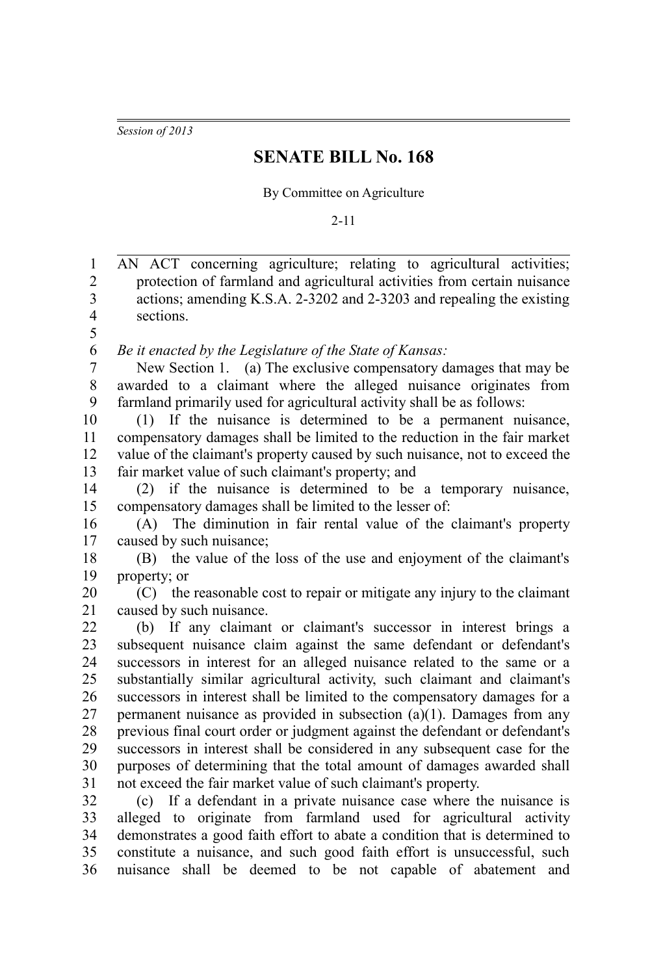*Session of 2013*

## **SENATE BILL No. 168**

By Committee on Agriculture

2-11

AN ACT concerning agriculture; relating to agricultural activities; protection of farmland and agricultural activities from certain nuisance actions; amending K.S.A. 2-3202 and 2-3203 and repealing the existing sections. *Be it enacted by the Legislature of the State of Kansas:* New Section 1. (a) The exclusive compensatory damages that may be awarded to a claimant where the alleged nuisance originates from farmland primarily used for agricultural activity shall be as follows: (1) If the nuisance is determined to be a permanent nuisance, compensatory damages shall be limited to the reduction in the fair market value of the claimant's property caused by such nuisance, not to exceed the fair market value of such claimant's property; and (2) if the nuisance is determined to be a temporary nuisance, compensatory damages shall be limited to the lesser of: (A) The diminution in fair rental value of the claimant's property caused by such nuisance; (B) the value of the loss of the use and enjoyment of the claimant's property; or (C) the reasonable cost to repair or mitigate any injury to the claimant caused by such nuisance. (b) If any claimant or claimant's successor in interest brings a subsequent nuisance claim against the same defendant or defendant's successors in interest for an alleged nuisance related to the same or a substantially similar agricultural activity, such claimant and claimant's successors in interest shall be limited to the compensatory damages for a permanent nuisance as provided in subsection (a)(1). Damages from any previous final court order or judgment against the defendant or defendant's successors in interest shall be considered in any subsequent case for the purposes of determining that the total amount of damages awarded shall not exceed the fair market value of such claimant's property. (c) If a defendant in a private nuisance case where the nuisance is alleged to originate from farmland used for agricultural activity demonstrates a good faith effort to abate a condition that is determined to constitute a nuisance, and such good faith effort is unsuccessful, such nuisance shall be deemed to be not capable of abatement and 1 2 3 4 5 6 7 8 9 10 11 12 13 14 15 16 17 18 19 20 21 22 23 24 25 26 27 28 29 30 31 32 33 34 35 36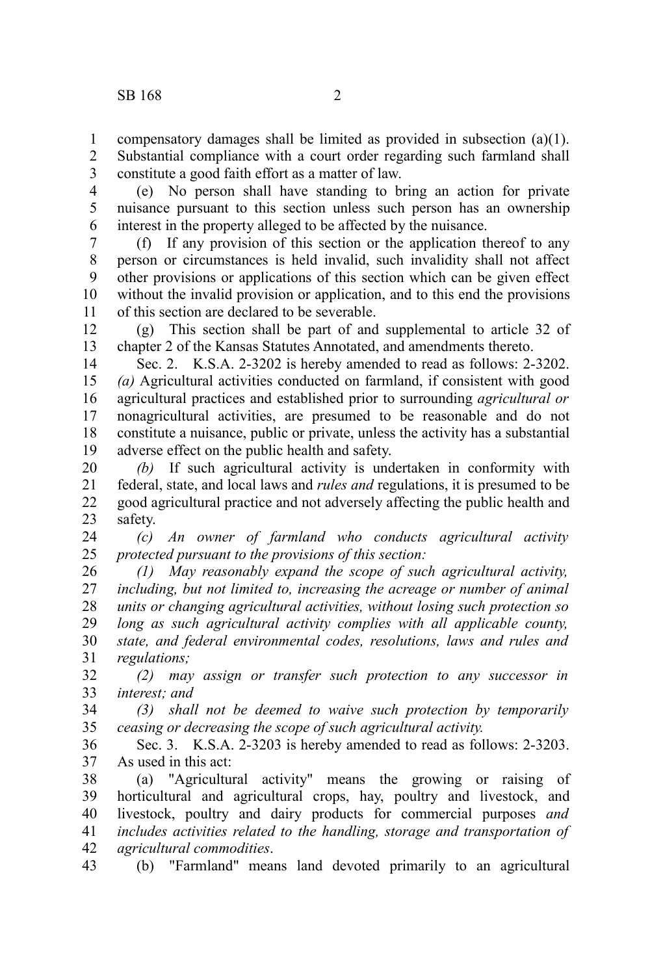compensatory damages shall be limited as provided in subsection (a)(1). 1

Substantial compliance with a court order regarding such farmland shall constitute a good faith effort as a matter of law. 2 3

(e) No person shall have standing to bring an action for private nuisance pursuant to this section unless such person has an ownership interest in the property alleged to be affected by the nuisance. 4 5 6

(f) If any provision of this section or the application thereof to any person or circumstances is held invalid, such invalidity shall not affect other provisions or applications of this section which can be given effect without the invalid provision or application, and to this end the provisions of this section are declared to be severable. 7 8 9 10 11

(g) This section shall be part of and supplemental to article 32 of chapter 2 of the Kansas Statutes Annotated, and amendments thereto. 12 13

Sec. 2. K.S.A. 2-3202 is hereby amended to read as follows: 2-3202. *(a)* Agricultural activities conducted on farmland, if consistent with good agricultural practices and established prior to surrounding *agricultural or* nonagricultural activities, are presumed to be reasonable and do not constitute a nuisance, public or private, unless the activity has a substantial adverse effect on the public health and safety. 14 15 16 17 18 19

*(b)* If such agricultural activity is undertaken in conformity with federal, state, and local laws and *rules and* regulations, it is presumed to be good agricultural practice and not adversely affecting the public health and safety. 20 21 22 23

*(c) An owner of farmland who conducts agricultural activity protected pursuant to the provisions of this section:* 24 25

*(1) May reasonably expand the scope of such agricultural activity, including, but not limited to, increasing the acreage or number of animal units or changing agricultural activities, without losing such protection so long as such agricultural activity complies with all applicable county, state, and federal environmental codes, resolutions, laws and rules and regulations;* 26 27 28 29 30 31

*(2) may assign or transfer such protection to any successor in interest; and* 32 33

*(3) shall not be deemed to waive such protection by temporarily ceasing or decreasing the scope of such agricultural activity.* 34 35

Sec. 3. K.S.A. 2-3203 is hereby amended to read as follows: 2-3203. As used in this act: 36 37

(a) "Agricultural activity" means the growing or raising of horticultural and agricultural crops, hay, poultry and livestock, and livestock, poultry and dairy products for commercial purposes *and includes activities related to the handling, storage and transportation of agricultural commodities*. 38 39 40 41 42

(b) "Farmland" means land devoted primarily to an agricultural 43